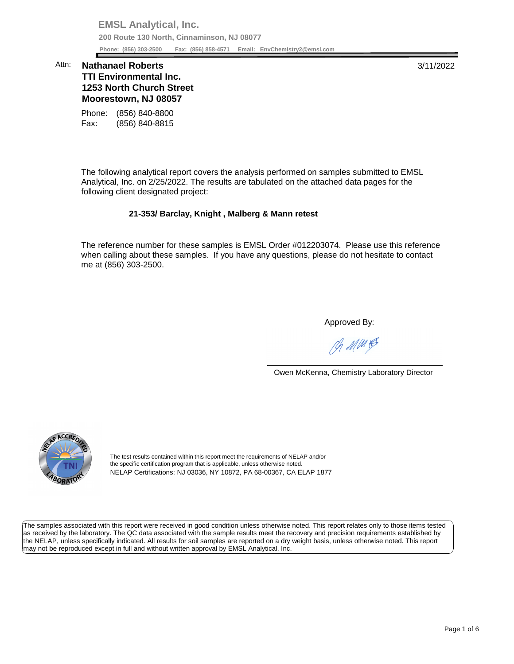**EMSL Analytical, Inc. 200 Route 130 North, Cinnaminson, NJ 08077 Phone: (856) 303-2500 Fax: (856) 858-4571 Email: [EnvChemistry2@emsl.com](mailto:EnvChemistry2@emsl.com)**  Phone: (856) 303-2500

## **1253 North Church Street Moorestown, NJ 08057**  Attn: **Nathanael Roberts** 3/11/2022 **TTI Environmental Inc.**

Phone: (856) 840-8800 Fax: (856) 840-8815

 The following analytical report covers the analysis performed on samples submitted to EMSL Analytical, Inc. on 2/25/2022. The results are tabulated on the attached data pages for the following client designated project:

## **21-353/ Barclay, Knight , Malberg & Mann retest**

 The reference number for these samples is EMSL Order #012203074. Please use this reference me at (856) 303-2500. when calling about these samples. If you have any questions, please do not hesitate to contact

Approved By:

Ph MMH

Owen McKenna, Chemistry Laboratory Director



The test results contained within this report meet the requirements of NELAP and/or the specific certification program that is applicable, unless otherwise noted. NELAP Certifications: NJ 03036, NY 10872, PA 68-00367, CA ELAP 1877

 The samples associated with this report were received in good condition unless otherwise noted. This report relates only to those items tested as received by the laboratory. The QC data associated with the sample results meet the recovery and precision requirements established by the NELAP, unless specifically indicated. All results for soil samples are reported on a dry weight basis, unless otherwise noted. This report may not be reproduced except in full and without written approval by EMSL Analytical, Inc.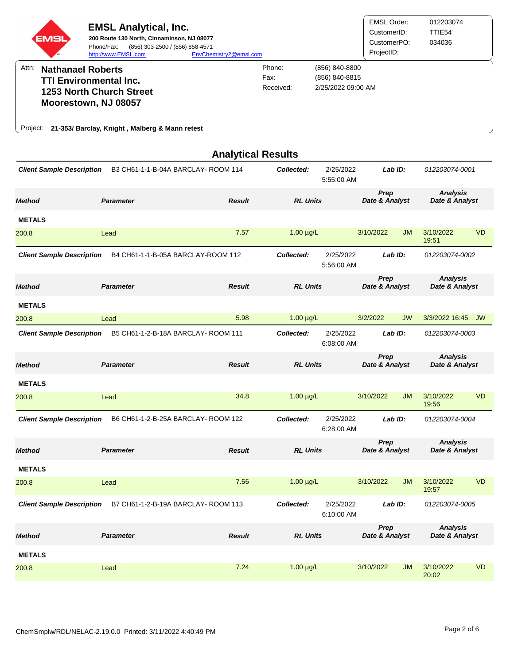

|                                  |                                    | <b>Analytical Results</b> |                 |                         |                        |           |                                   |           |
|----------------------------------|------------------------------------|---------------------------|-----------------|-------------------------|------------------------|-----------|-----------------------------------|-----------|
| <b>Client Sample Description</b> | B3 CH61-1-1-B-04A BARCLAY-ROOM 114 |                           | Collected:      | 2/25/2022<br>5:55:00 AM | Lab ID:                |           | 012203074-0001                    |           |
| <b>Method</b>                    | <b>Parameter</b>                   | <b>Result</b>             | <b>RL Units</b> |                         | Prep<br>Date & Analyst |           | <b>Analysis</b><br>Date & Analyst |           |
| <b>METALS</b>                    |                                    |                           |                 |                         |                        |           |                                   |           |
| 200.8                            | Lead                               | 7.57                      | $1.00 \mu g/L$  |                         | 3/10/2022              | <b>JM</b> | 3/10/2022<br>19:51                | <b>VD</b> |
| <b>Client Sample Description</b> | B4 CH61-1-1-B-05A BARCLAY-ROOM 112 |                           | Collected:      | 2/25/2022<br>5:56:00 AM | Lab ID:                |           | 012203074-0002                    |           |
| <b>Method</b>                    | <b>Parameter</b>                   | <b>Result</b>             | <b>RL Units</b> |                         | Prep<br>Date & Analyst |           | <b>Analysis</b><br>Date & Analyst |           |
| <b>METALS</b>                    |                                    |                           |                 |                         |                        |           |                                   |           |
| 200.8                            | Lead                               | 5.98                      | $1.00 \mu g/L$  |                         | 3/2/2022               | <b>JW</b> | 3/3/2022 16:45                    | <b>JW</b> |
| <b>Client Sample Description</b> | B5 CH61-1-2-B-18A BARCLAY-ROOM 111 |                           | Collected:      | 2/25/2022<br>6:08:00 AM | Lab ID:                |           | 012203074-0003                    |           |
| <b>Method</b>                    | <b>Parameter</b>                   | <b>Result</b>             | <b>RL Units</b> |                         | Prep<br>Date & Analyst |           | <b>Analysis</b><br>Date & Analyst |           |
| <b>METALS</b>                    |                                    |                           |                 |                         |                        |           |                                   |           |
| 200.8                            | Lead                               | 34.8                      | $1.00 \mu g/L$  |                         | 3/10/2022              | <b>JM</b> | 3/10/2022<br>19:56                | <b>VD</b> |
| <b>Client Sample Description</b> | B6 CH61-1-2-B-25A BARCLAY-ROOM 122 |                           | Collected:      | 2/25/2022<br>6:28:00 AM | Lab ID:                |           | 012203074-0004                    |           |
| <b>Method</b>                    | <b>Parameter</b>                   | <b>Result</b>             | <b>RL Units</b> |                         | Prep<br>Date & Analyst |           | <b>Analysis</b><br>Date & Analyst |           |
| <b>METALS</b>                    |                                    |                           |                 |                         |                        |           |                                   |           |
| 200.8                            | Lead                               | 7.56                      | $1.00 \mu g/L$  |                         | 3/10/2022              | <b>JM</b> | 3/10/2022<br>19:57                | <b>VD</b> |
| <b>Client Sample Description</b> | B7 CH61-1-2-B-19A BARCLAY-ROOM 113 |                           | Collected:      | 2/25/2022<br>6:10:00 AM | Lab ID:                |           | 012203074-0005                    |           |
| <b>Method</b>                    | <b>Parameter</b>                   | <b>Result</b>             | <b>RL Units</b> |                         | Prep<br>Date & Analyst |           | <b>Analysis</b><br>Date & Analyst |           |
| <b>METALS</b>                    |                                    |                           |                 |                         |                        |           |                                   |           |
| 200.8                            | Lead                               | 7.24                      | $1.00 \mu g/L$  |                         | 3/10/2022              | <b>JM</b> | 3/10/2022<br>20:02                | <b>VD</b> |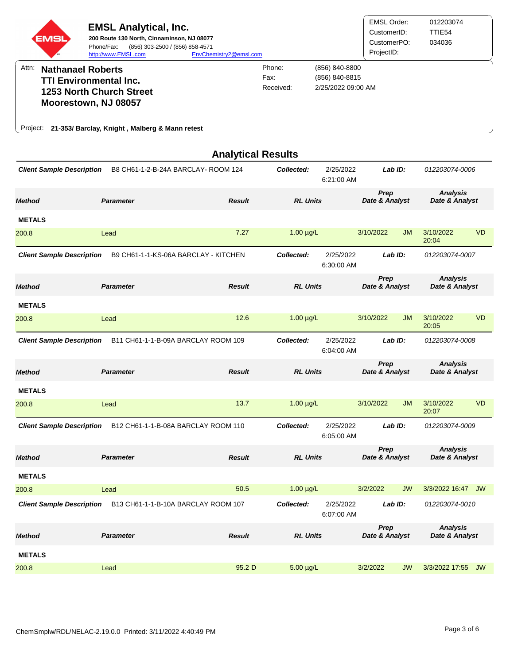

|                                  |                                      | <b>Analytical Results</b> |                 |                         |                        |           |                                   |           |
|----------------------------------|--------------------------------------|---------------------------|-----------------|-------------------------|------------------------|-----------|-----------------------------------|-----------|
| <b>Client Sample Description</b> | B8 CH61-1-2-B-24A BARCLAY-ROOM 124   |                           | Collected:      | 2/25/2022<br>6:21:00 AM | Lab ID:                |           | 012203074-0006                    |           |
| <b>Method</b>                    | <b>Parameter</b>                     | <b>Result</b>             | <b>RL Units</b> |                         | Prep<br>Date & Analyst |           | <b>Analysis</b><br>Date & Analyst |           |
| <b>METALS</b>                    |                                      |                           |                 |                         |                        |           |                                   |           |
| 200.8                            | Lead                                 | 7.27                      | $1.00 \mu g/L$  |                         | 3/10/2022              | <b>JM</b> | 3/10/2022<br>20:04                | <b>VD</b> |
| <b>Client Sample Description</b> | B9 CH61-1-1-KS-06A BARCLAY - KITCHEN |                           | Collected:      | 2/25/2022<br>6:30:00 AM | Lab ID:                |           | 012203074-0007                    |           |
| <b>Method</b>                    | <b>Parameter</b>                     | <b>Result</b>             | <b>RL Units</b> |                         | Prep<br>Date & Analyst |           | <b>Analysis</b><br>Date & Analyst |           |
| <b>METALS</b>                    |                                      |                           |                 |                         |                        |           |                                   |           |
| 200.8                            | Lead                                 | 12.6                      | $1.00 \mu g/L$  |                         | 3/10/2022              | <b>JM</b> | 3/10/2022<br>20:05                | <b>VD</b> |
| <b>Client Sample Description</b> | B11 CH61-1-1-B-09A BARCLAY ROOM 109  |                           | Collected:      | 2/25/2022<br>6:04:00 AM | Lab ID:                |           | 012203074-0008                    |           |
|                                  |                                      |                           |                 |                         | Prep                   |           | <b>Analysis</b>                   |           |
| <b>Method</b>                    | <b>Parameter</b>                     | <b>Result</b>             | <b>RL Units</b> |                         | Date & Analyst         |           | Date & Analyst                    |           |
| <b>METALS</b>                    |                                      |                           |                 |                         |                        |           |                                   |           |
| 200.8                            | Lead                                 | 13.7                      | $1.00 \mu g/L$  |                         | 3/10/2022              | <b>JM</b> | 3/10/2022<br>20:07                | <b>VD</b> |
| <b>Client Sample Description</b> | B12 CH61-1-1-B-08A BARCLAY ROOM 110  |                           | Collected:      | 2/25/2022<br>6:05:00 AM | Lab ID:                |           | 012203074-0009                    |           |
| <b>Method</b>                    | <b>Parameter</b>                     | <b>Result</b>             | <b>RL Units</b> |                         | Prep<br>Date & Analyst |           | <b>Analysis</b><br>Date & Analyst |           |
| <b>METALS</b>                    |                                      |                           |                 |                         |                        |           |                                   |           |
| 200.8                            | Lead                                 | 50.5                      | $1.00 \mu g/L$  |                         | 3/2/2022               | <b>JW</b> | 3/3/2022 16:47 JW                 |           |
| <b>Client Sample Description</b> | B13 CH61-1-1-B-10A BARCLAY ROOM 107  |                           | Collected:      | 2/25/2022<br>6:07:00 AM | Lab ID:                |           | 012203074-0010                    |           |
| <b>Method</b>                    | <b>Parameter</b>                     | <b>Result</b>             | <b>RL Units</b> |                         | Prep<br>Date & Analyst |           | <b>Analysis</b><br>Date & Analyst |           |
| <b>METALS</b>                    |                                      |                           |                 |                         |                        |           |                                   |           |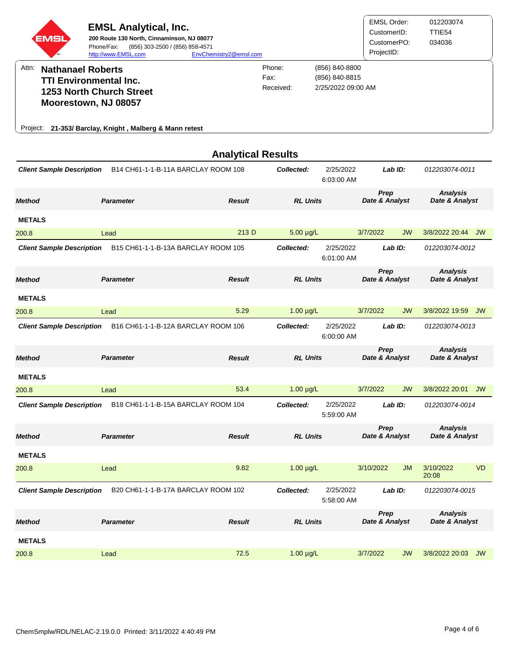| <b>EMSL</b> | <b>EMSL Analytical, Inc.</b><br>200 Route 130 North, Cinnaminson, NJ 08077<br>Phone/Fax:<br>(856) 303-2500 / (856) 858-4571<br>http://www.EMSL.com | EnvChemistry2@emsl.com |                             |                                                        | <b>EMSL Order:</b><br>CustomerID:<br>CustomerPO:<br>ProjectID: | 012203074<br>TTIE54<br>034036 |
|-------------|----------------------------------------------------------------------------------------------------------------------------------------------------|------------------------|-----------------------------|--------------------------------------------------------|----------------------------------------------------------------|-------------------------------|
| Attn:       | <b>Nathanael Roberts</b><br><b>TTI Environmental Inc.</b><br><b>1253 North Church Street</b><br>Moorestown, NJ 08057                               |                        | Phone:<br>Fax:<br>Received: | (856) 840-8800<br>(856) 840-8815<br>2/25/2022 09:00 AM |                                                                |                               |
|             | Project: 21-353/ Barclay, Knight, Malberg & Mann retest                                                                                            |                        |                             |                                                        |                                                                |                               |
|             |                                                                                                                                                    |                        | <b>Analytical Results</b>   |                                                        |                                                                |                               |

| <b>Client Sample Description</b> | B14 CH61-1-1-B-11A BARCLAY ROOM 108 |               | Collected:      | 2/25/2022<br>6:03:00 AM |                        | Lab ID:   | 012203074-0011                    |           |
|----------------------------------|-------------------------------------|---------------|-----------------|-------------------------|------------------------|-----------|-----------------------------------|-----------|
| <b>Method</b>                    | <b>Parameter</b>                    | <b>Result</b> | <b>RL Units</b> |                         | Prep<br>Date & Analyst |           | <b>Analysis</b><br>Date & Analyst |           |
| <b>METALS</b>                    |                                     |               |                 |                         |                        |           |                                   |           |
| 200.8                            | Lead                                | 213 D         | 5.00 µg/L       |                         | 3/7/2022               | <b>JW</b> | 3/8/2022 20:44 JW                 |           |
| <b>Client Sample Description</b> | B15 CH61-1-1-B-13A BARCLAY ROOM 105 |               | Collected:      | 2/25/2022<br>6:01:00 AM |                        | Lab ID:   | 012203074-0012                    |           |
| <b>Method</b>                    | <b>Parameter</b>                    | <b>Result</b> | <b>RL Units</b> |                         | Prep<br>Date & Analyst |           | <b>Analysis</b><br>Date & Analyst |           |
| <b>METALS</b>                    |                                     |               |                 |                         |                        |           |                                   |           |
| 200.8                            | Lead                                | 5.29          | $1.00 \mu g/L$  |                         | 3/7/2022               | <b>JW</b> | 3/8/2022 19:59                    | JW        |
| <b>Client Sample Description</b> | B16 CH61-1-1-B-12A BARCLAY ROOM 106 |               | Collected:      | 2/25/2022<br>6:00:00 AM |                        | Lab ID:   | 012203074-0013                    |           |
| <b>Method</b>                    | <b>Parameter</b>                    | <b>Result</b> | <b>RL Units</b> |                         | Prep<br>Date & Analyst |           | <b>Analysis</b><br>Date & Analyst |           |
| <b>METALS</b>                    |                                     |               |                 |                         |                        |           |                                   |           |
| 200.8                            | Lead                                | 53.4          | $1.00 \mu g/L$  |                         | 3/7/2022               | <b>JW</b> | 3/8/2022 20:01                    | <b>JW</b> |
| <b>Client Sample Description</b> | B18 CH61-1-1-B-15A BARCLAY ROOM 104 |               | Collected:      | 2/25/2022<br>5:59:00 AM |                        | Lab ID:   | 012203074-0014                    |           |
| <b>Method</b>                    | <b>Parameter</b>                    | <b>Result</b> | <b>RL Units</b> |                         | Prep<br>Date & Analyst |           | <b>Analysis</b><br>Date & Analyst |           |
| <b>METALS</b>                    |                                     |               |                 |                         |                        |           |                                   |           |
| 200.8                            | Lead                                | 9.82          | $1.00 \mu g/L$  |                         | 3/10/2022              | <b>JM</b> | 3/10/2022<br>20:08                | <b>VD</b> |
| <b>Client Sample Description</b> | B20 CH61-1-1-B-17A BARCLAY ROOM 102 |               | Collected:      | 2/25/2022<br>5:58:00 AM |                        | Lab ID:   | 012203074-0015                    |           |
| <b>Method</b>                    | <b>Parameter</b>                    | <b>Result</b> | <b>RL Units</b> |                         | Prep<br>Date & Analyst |           | <b>Analysis</b><br>Date & Analyst |           |
| <b>METALS</b>                    |                                     |               |                 |                         |                        |           |                                   |           |
| 200.8                            | Lead                                | 72.5          | $1.00 \mu g/L$  |                         | 3/7/2022               | <b>JW</b> | 3/8/2022 20:03                    | <b>JW</b> |
|                                  |                                     |               |                 |                         |                        |           |                                   |           |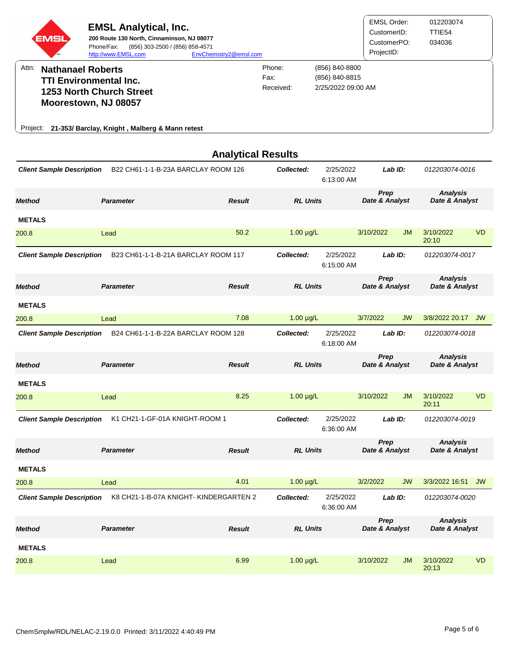|          | <b>EMSL</b><br><b>SM</b> | <b>EMSL Analytical, Inc.</b><br>200 Route 130 North, Cinnaminson, NJ 08077<br>(856) 303-2500 / (856) 858-4571<br>Phone/Fax:<br>http://www.EMSL.com | EnvChemistry2@emsl.com |                             |                                                        | <b>EMSL Order:</b><br>CustomerID:<br>CustomerPO:<br>ProjectID: | 012203074<br>TTIE54<br>034036 |
|----------|--------------------------|----------------------------------------------------------------------------------------------------------------------------------------------------|------------------------|-----------------------------|--------------------------------------------------------|----------------------------------------------------------------|-------------------------------|
| Attn:    | <b>Nathanael Roberts</b> | <b>TTI Environmental Inc.</b><br>1253 North Church Street                                                                                          |                        | Phone:<br>Fax:<br>Received: | (856) 840-8800<br>(856) 840-8815<br>2/25/2022 09:00 AM |                                                                |                               |
|          |                          | Moorestown, NJ 08057                                                                                                                               |                        |                             |                                                        |                                                                |                               |
| Project: |                          | 21-353/ Barclay, Knight, Malberg & Mann retest                                                                                                     |                        |                             |                                                        |                                                                |                               |

|                                  |                                       | <b>Analytical Results</b> |                 |                         |                               |           |                                   |           |
|----------------------------------|---------------------------------------|---------------------------|-----------------|-------------------------|-------------------------------|-----------|-----------------------------------|-----------|
| <b>Client Sample Description</b> | B22 CH61-1-1-B-23A BARCLAY ROOM 126   |                           | Collected:      | 2/25/2022<br>6:13:00 AM |                               | Lab ID:   | 012203074-0016                    |           |
| <b>Method</b>                    | <b>Parameter</b>                      | <b>Result</b>             | <b>RL Units</b> |                         | Prep<br>Date & Analyst        |           | <b>Analysis</b><br>Date & Analyst |           |
| <b>METALS</b>                    |                                       |                           |                 |                         |                               |           |                                   |           |
| 200.8                            | Lead                                  | 50.2                      | $1.00 \mu g/L$  |                         | 3/10/2022                     | <b>JM</b> | 3/10/2022<br>20:10                | <b>VD</b> |
| <b>Client Sample Description</b> | B23 CH61-1-1-B-21A BARCLAY ROOM 117   |                           | Collected:      | 2/25/2022<br>6:15:00 AM |                               | Lab ID:   | 012203074-0017                    |           |
| <b>Method</b>                    | <b>Parameter</b>                      | <b>Result</b>             | <b>RL Units</b> |                         | <b>Prep</b><br>Date & Analyst |           | <b>Analysis</b><br>Date & Analyst |           |
| <b>METALS</b>                    |                                       |                           |                 |                         |                               |           |                                   |           |
| 200.8                            | Lead                                  | 7.08                      | $1.00 \mu g/L$  |                         | 3/7/2022                      | <b>JW</b> | 3/8/2022 20:17 JW                 |           |
| <b>Client Sample Description</b> | B24 CH61-1-1-B-22A BARCLAY ROOM 128   |                           | Collected:      | 2/25/2022<br>6:18:00 AM |                               | LabID:    | 012203074-0018                    |           |
| <b>Method</b>                    | <b>Parameter</b>                      | <b>Result</b>             | <b>RL Units</b> |                         | Prep<br>Date & Analyst        |           | <b>Analysis</b><br>Date & Analyst |           |
| <b>METALS</b>                    |                                       |                           |                 |                         |                               |           |                                   |           |
| 200.8                            | Lead                                  | 8.25                      | $1.00 \mu g/L$  |                         | 3/10/2022                     | <b>JM</b> | 3/10/2022<br>20:11                | <b>VD</b> |
| <b>Client Sample Description</b> | K1 CH21-1-GF-01A KNIGHT-ROOM 1        |                           | Collected:      | 2/25/2022<br>6:36:00 AM |                               | Lab ID:   | 012203074-0019                    |           |
| <b>Method</b>                    | <b>Parameter</b>                      | <b>Result</b>             | <b>RL Units</b> |                         | Prep<br>Date & Analyst        |           | <b>Analysis</b><br>Date & Analyst |           |
| <b>METALS</b>                    |                                       |                           |                 |                         |                               |           |                                   |           |
| 200.8                            | Lead                                  | 4.01                      | $1.00 \mu g/L$  |                         | 3/2/2022                      | <b>JW</b> | 3/3/2022 16:51 JW                 |           |
| <b>Client Sample Description</b> | K8 CH21-1-B-07A KNIGHT-KINDERGARTEN 2 |                           | Collected:      | 2/25/2022<br>6:36:00 AM |                               | Lab ID:   | 012203074-0020                    |           |
| <b>Method</b>                    | <b>Parameter</b>                      | <b>Result</b>             | <b>RL Units</b> |                         | Prep<br>Date & Analyst        |           | <b>Analysis</b><br>Date & Analyst |           |
| <b>METALS</b>                    |                                       |                           |                 |                         |                               |           |                                   |           |
| 200.8                            | Lead                                  | 6.99                      | $1.00 \mu g/L$  |                         | 3/10/2022                     | <b>JM</b> | 3/10/2022<br>20:13                | <b>VD</b> |